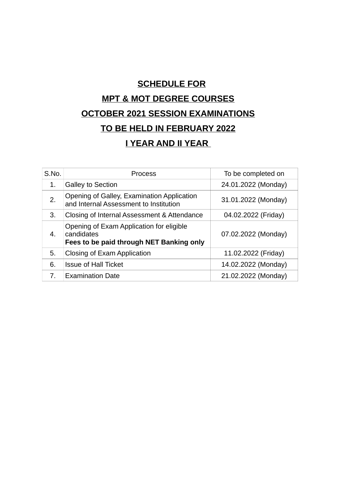# **SCHEDULE FOR MPT & MOT DEGREE COURSES OCTOBER 2021 SESSION EXAMINATIONS TO BE HELD IN FEBRUARY 2022 I YEAR AND II YEAR**

| S.No. | <b>Process</b>                                                                                     | To be completed on  |
|-------|----------------------------------------------------------------------------------------------------|---------------------|
| 1.    | <b>Galley to Section</b>                                                                           | 24.01.2022 (Monday) |
| 2.    | Opening of Galley, Examination Application<br>and Internal Assessment to Institution               | 31.01.2022 (Monday) |
| 3.    | Closing of Internal Assessment & Attendance                                                        | 04.02.2022 (Friday) |
| 4.    | Opening of Exam Application for eligible<br>candidates<br>Fees to be paid through NET Banking only | 07.02.2022 (Monday) |
| 5.    | Closing of Exam Application                                                                        | 11.02.2022 (Friday) |
| 6.    | <b>Issue of Hall Ticket</b>                                                                        | 14.02.2022 (Monday) |
| 7.    | <b>Examination Date</b>                                                                            | 21.02.2022 (Monday) |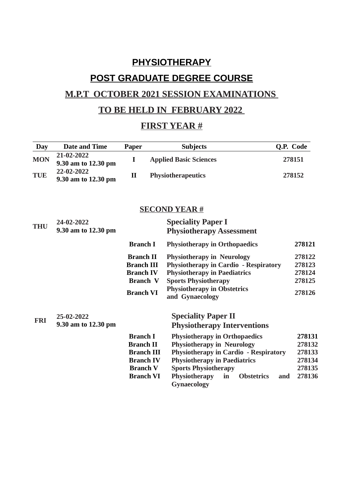# **PHYSIOTHERAPY POST GRADUATE DEGREE COURSE**

## **M.P.T OCTOBER 2021 SESSION EXAMINATIONS**

### **TO BE HELD IN FEBRUARY 2022**

### **FIRST YEAR #**

| <b>Day</b> | <b>Date and Time</b>              | Paper             | <b>Subjects</b>                                         | Q.P. Code     |
|------------|-----------------------------------|-------------------|---------------------------------------------------------|---------------|
| <b>MON</b> | 21-02-2022<br>9.30 am to 12.30 pm | I                 | <b>Applied Basic Sciences</b>                           | 278151        |
| <b>TUE</b> | 22-02-2022<br>9.30 am to 12.30 pm | $\mathbf{I}$      | Physiotherapeutics<br>278152                            |               |
|            |                                   |                   | <b>SECOND YEAR#</b>                                     |               |
| <b>THU</b> | 24-02-2022<br>9.30 am to 12.30 pm |                   | <b>Speciality Paper I</b>                               |               |
|            |                                   |                   | <b>Physiotherapy Assessment</b>                         |               |
|            |                                   | <b>Branch I</b>   | <b>Physiotherapy in Orthopaedics</b>                    | 278121        |
|            |                                   | <b>Branch II</b>  | <b>Physiotherapy in Neurology</b>                       | 278122        |
|            |                                   | <b>Branch III</b> | <b>Physiotherapy in Cardio - Respiratory</b>            | 278123        |
|            |                                   | <b>Branch IV</b>  | <b>Physiotherapy in Paediatrics</b>                     | 278124        |
|            |                                   | <b>Branch V</b>   | <b>Sports Physiotherapy</b>                             | 278125        |
|            |                                   | <b>Branch VI</b>  | <b>Physiotherapy in Obstetrics</b><br>and Gynaecology   | 278126        |
|            | 25-02-2022                        |                   | <b>Speciality Paper II</b>                              |               |
| <b>FRI</b> | 9.30 am to 12.30 pm               |                   | <b>Physiotherapy Interventions</b>                      |               |
|            |                                   | <b>Branch I</b>   | <b>Physiotherapy in Orthopaedics</b>                    | 278131        |
|            |                                   | <b>Branch II</b>  | <b>Physiotherapy in Neurology</b>                       | 278132        |
|            |                                   | <b>Branch III</b> | <b>Physiotherapy in Cardio - Respiratory</b>            | 278133        |
|            |                                   | <b>Branch IV</b>  | <b>Physiotherapy in Paediatrics</b>                     | 278134        |
|            |                                   | <b>Branch V</b>   | <b>Sports Physiotherapy</b>                             | 278135        |
|            |                                   | <b>Branch VI</b>  | Physiotherapy<br><b>Obstetrics</b><br>in<br>Gynaecology | 278136<br>and |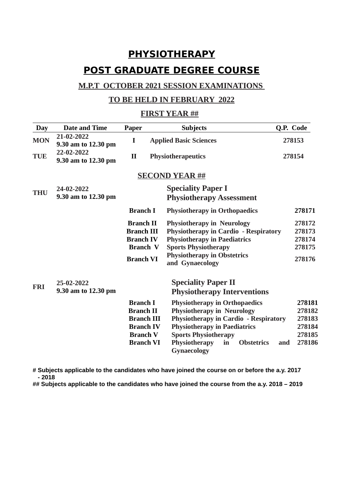# **PHYSIOTHERAPY POST GRADUATE DEGREE COURSE**

#### **M.P.T OCTOBER 2021 SESSION EXAMINATIONS**

#### **TO BE HELD IN FEBRUARY 2022**

#### **FIRST YEAR ##**

| Day        | <b>Date and Time</b>              | Paper                                                                                                               | <b>Subjects</b>                                                                                                                                                                                                                                            | Q.P. Code                                                       |
|------------|-----------------------------------|---------------------------------------------------------------------------------------------------------------------|------------------------------------------------------------------------------------------------------------------------------------------------------------------------------------------------------------------------------------------------------------|-----------------------------------------------------------------|
| <b>MON</b> | 21-02-2022<br>9.30 am to 12.30 pm | I                                                                                                                   | <b>Applied Basic Sciences</b>                                                                                                                                                                                                                              | 278153                                                          |
| <b>TUE</b> | 22-02-2022<br>9.30 am to 12.30 pm | $\mathbf{I}$                                                                                                        | Physiotherapeutics<br>278154                                                                                                                                                                                                                               |                                                                 |
|            |                                   |                                                                                                                     | <b>SECOND YEAR ##</b>                                                                                                                                                                                                                                      |                                                                 |
| <b>THU</b> | 24-02-2022<br>9.30 am to 12.30 pm |                                                                                                                     | <b>Speciality Paper I</b><br><b>Physiotherapy Assessment</b>                                                                                                                                                                                               |                                                                 |
|            |                                   | <b>Branch I</b>                                                                                                     | <b>Physiotherapy in Orthopaedics</b>                                                                                                                                                                                                                       | 278171                                                          |
|            |                                   | <b>Branch II</b><br><b>Branch III</b><br><b>Branch IV</b><br><b>Branch V</b><br><b>Branch VI</b>                    | <b>Physiotherapy in Neurology</b><br><b>Physiotherapy in Cardio - Respiratory</b><br><b>Physiotherapy in Paediatrics</b><br><b>Sports Physiotherapy</b><br><b>Physiotherapy in Obstetrics</b><br>and Gynaecology                                           | 278172<br>278173<br>278174<br>278175<br>278176                  |
| <b>FRI</b> | 25-02-2022<br>9.30 am to 12.30 pm |                                                                                                                     | <b>Speciality Paper II</b><br><b>Physiotherapy Interventions</b>                                                                                                                                                                                           |                                                                 |
|            |                                   | <b>Branch I</b><br><b>Branch II</b><br><b>Branch III</b><br><b>Branch IV</b><br><b>Branch V</b><br><b>Branch VI</b> | <b>Physiotherapy in Orthopaedics</b><br><b>Physiotherapy in Neurology</b><br><b>Physiotherapy in Cardio - Respiratory</b><br><b>Physiotherapy in Paediatrics</b><br><b>Sports Physiotherapy</b><br>Physiotherapy<br><b>Obstetrics</b><br>in<br>Gynaecology | 278181<br>278182<br>278183<br>278184<br>278185<br>278186<br>and |

**# Subjects applicable to the candidates who have joined the course on or before the a.y. 2017 - 2018** 

**## Subjects applicable to the candidates who have joined the course from the a.y. 2018 – 2019**